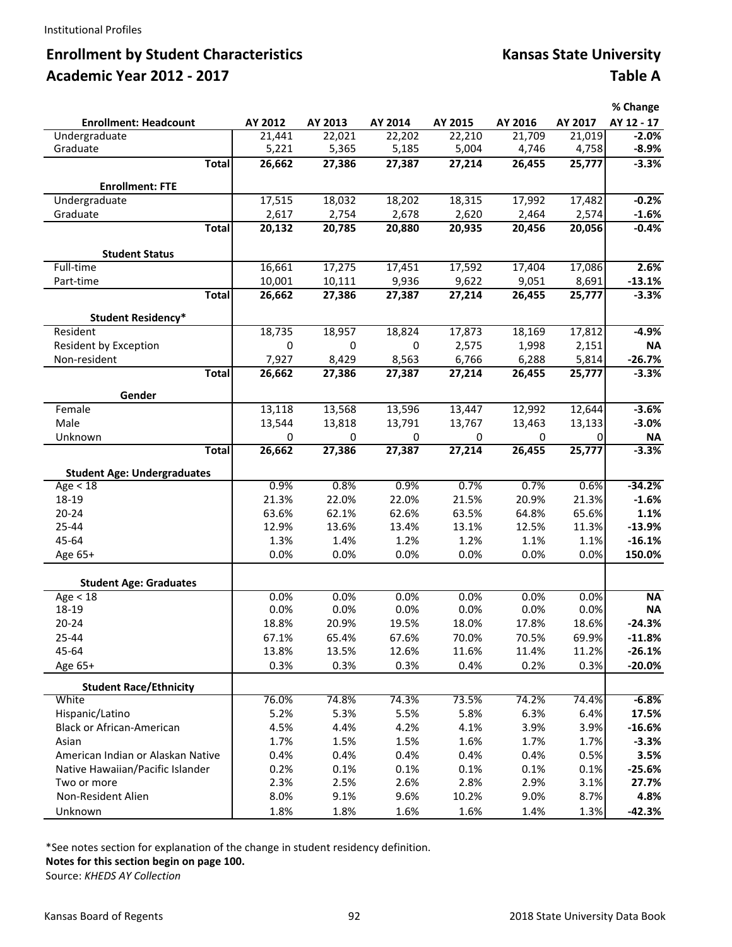# **Enrollment by Student Characteristics Kansas State University Academic Year 2012 ‐ 2017 Table A**

|                                                                       |                  |                  |                 |                 |                 |                 | % Change            |
|-----------------------------------------------------------------------|------------------|------------------|-----------------|-----------------|-----------------|-----------------|---------------------|
| <b>Enrollment: Headcount</b>                                          | AY 2012          | AY 2013          | AY 2014         | AY 2015         | AY 2016         | AY 2017         | AY 12 - 17          |
| Undergraduate                                                         | 21,441           | 22,021           | 22,202          | 22,210          | 21,709          | 21,019          | $-2.0%$             |
| Graduate                                                              | 5,221            | 5,365            | 5,185           | 5,004           | 4,746           | 4,758           | $-8.9%$             |
| <b>Total</b>                                                          | 26,662           | 27,386           | 27,387          | 27,214          | 26,455          | 25,777          | $-3.3%$             |
| <b>Enrollment: FTE</b>                                                |                  |                  |                 |                 |                 |                 |                     |
| Undergraduate                                                         | 17,515           | 18,032           | 18,202          | 18,315          | 17,992          | 17,482          | $-0.2%$             |
| Graduate                                                              | 2,617            | 2,754            | 2,678           | 2,620           | 2,464           | 2,574           | $-1.6%$             |
| <b>Total</b>                                                          | 20,132           | 20,785           | 20,880          | 20,935          | 20,456          | 20,056          | $-0.4%$             |
|                                                                       |                  |                  |                 |                 |                 |                 |                     |
| <b>Student Status</b>                                                 |                  |                  |                 |                 |                 |                 |                     |
| Full-time                                                             | 16,661           | 17,275           | 17,451          | 17,592          | 17,404          | 17,086          | 2.6%                |
| Part-time<br><b>Total</b>                                             | 10,001<br>26,662 | 10,111<br>27,386 | 9,936<br>27,387 | 9,622<br>27,214 | 9,051<br>26,455 | 8,691<br>25,777 | $-13.1%$<br>$-3.3%$ |
|                                                                       |                  |                  |                 |                 |                 |                 |                     |
| <b>Student Residency*</b>                                             |                  |                  |                 |                 |                 |                 |                     |
| Resident                                                              | 18,735           | 18,957           | 18,824          | 17,873          | 18,169          | 17,812          | $-4.9%$             |
| Resident by Exception                                                 | 0                | 0                | 0               | 2,575           | 1,998           | 2,151           | <b>NA</b>           |
| Non-resident                                                          | 7,927            | 8,429            | 8,563           | 6,766           | 6,288           | 5,814           | $-26.7%$            |
| <b>Total</b>                                                          | 26,662           | 27,386           | 27,387          | 27,214          | 26,455          | 25,777          | $-3.3%$             |
| Gender                                                                |                  |                  |                 |                 |                 |                 |                     |
| Female                                                                | 13,118           | 13,568           | 13,596          | 13,447          | 12,992          | 12,644          | $-3.6%$             |
| Male                                                                  | 13,544           | 13,818           | 13,791          | 13,767          | 13,463          | 13,133          | $-3.0%$             |
| Unknown                                                               | 0                | 0                | 0               | 0               | 0               | 0               | ΝA                  |
| <b>Total</b>                                                          | 26,662           | 27,386           | 27,387          | 27,214          | 26,455          | 25,777          | $-3.3%$             |
| <b>Student Age: Undergraduates</b>                                    |                  |                  |                 |                 |                 |                 |                     |
| Age $<$ 18                                                            | 0.9%             | 0.8%             | 0.9%            | 0.7%            | 0.7%            | 0.6%            | $-34.2%$            |
| 18-19                                                                 | 21.3%            | 22.0%            | 22.0%           | 21.5%           | 20.9%           | 21.3%           | $-1.6%$             |
| $20 - 24$                                                             | 63.6%            | 62.1%            | 62.6%           | 63.5%           | 64.8%           | 65.6%           | 1.1%                |
| 25-44                                                                 | 12.9%            | 13.6%            | 13.4%           | 13.1%           | 12.5%           | 11.3%           | $-13.9%$            |
| 45-64                                                                 | 1.3%             | 1.4%             | 1.2%            | 1.2%            | 1.1%            | 1.1%            | $-16.1%$            |
| Age 65+                                                               | 0.0%             | 0.0%             | 0.0%            | 0.0%            | 0.0%            | 0.0%            | 150.0%              |
|                                                                       |                  |                  |                 |                 |                 |                 |                     |
| <b>Student Age: Graduates</b>                                         |                  |                  |                 |                 |                 |                 |                     |
| Age $\overline{<}$ 18                                                 | 0.0%             | 0.0%             | 0.0%            | 0.0%            | 0.0%            | 0.0%            | <b>NA</b>           |
| 18-19                                                                 | 0.0%             | 0.0%             | 0.0%            | 0.0%            | 0.0%            | 0.0%            | <b>NA</b>           |
| $20 - 24$                                                             | 18.8%            | 20.9%            | 19.5%           | 18.0%           | 17.8%           | 18.6%           | $-24.3%$            |
| 25-44                                                                 | 67.1%            | 65.4%            | 67.6%<br>12.6%  | 70.0%           | 70.5%           | 69.9%<br>11.2%  | $-11.8%$            |
| 45-64                                                                 | 13.8%            | 13.5%            |                 | 11.6%           | 11.4%           |                 | $-26.1%$            |
| Age 65+                                                               | 0.3%             | 0.3%             | 0.3%            | 0.4%            | 0.2%            | 0.3%            | $-20.0%$            |
| <b>Student Race/Ethnicity</b>                                         |                  |                  |                 |                 |                 |                 |                     |
| White                                                                 | 76.0%            | 74.8%            | 74.3%           | 73.5%           | 74.2%           | 74.4%           | $-6.8%$             |
| Hispanic/Latino                                                       | 5.2%             | 5.3%             | 5.5%            | 5.8%            | 6.3%            | 6.4%            | 17.5%               |
| Black or African-American                                             | 4.5%             | 4.4%             | 4.2%            | 4.1%            | 3.9%            | 3.9%            | $-16.6%$            |
| Asian                                                                 | 1.7%             | 1.5%             | 1.5%            | 1.6%            | 1.7%            | 1.7%            | $-3.3%$             |
| American Indian or Alaskan Native<br>Native Hawaiian/Pacific Islander | 0.4%             | 0.4%             | 0.4%            | 0.4%            | 0.4%            | 0.5%            | 3.5%<br>$-25.6%$    |
| Two or more                                                           | 0.2%<br>2.3%     | 0.1%<br>2.5%     | 0.1%<br>2.6%    | 0.1%<br>2.8%    | 0.1%<br>2.9%    | 0.1%<br>3.1%    | 27.7%               |
| Non-Resident Alien                                                    | 8.0%             | 9.1%             | 9.6%            | 10.2%           | 9.0%            | 8.7%            | 4.8%                |
| Unknown                                                               | 1.8%             | 1.8%             | 1.6%            | 1.6%            | 1.4%            | 1.3%            | $-42.3%$            |
|                                                                       |                  |                  |                 |                 |                 |                 |                     |

\*See notes section for explanation of the change in student residency definition.

**Notes for this section begin on page 100.**

Source: *KHEDS AY Collection*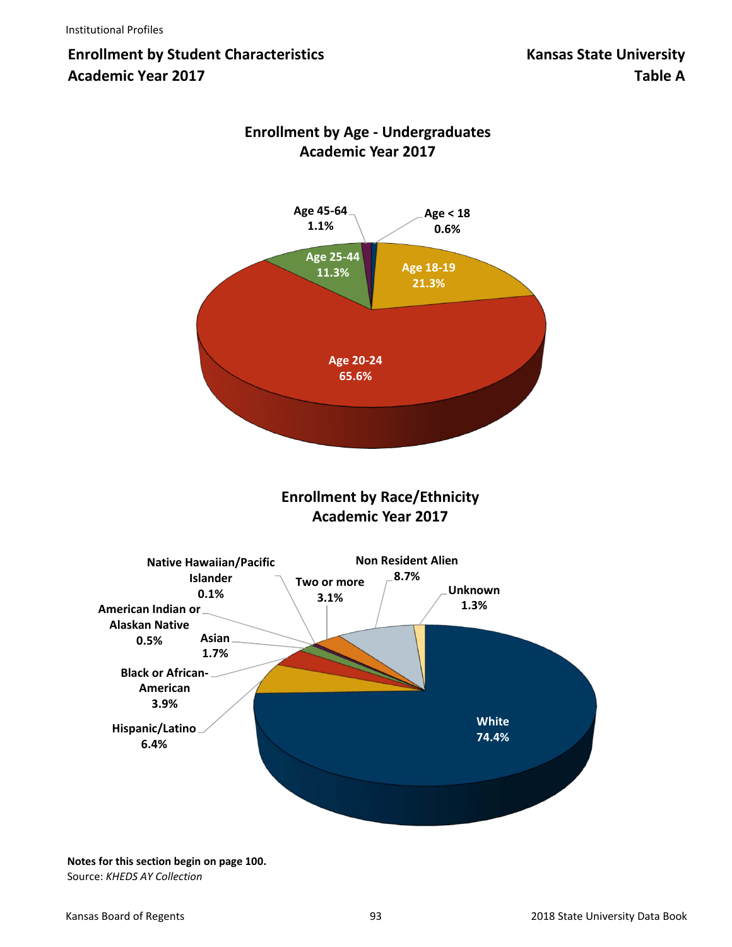# **Enrollment by Student Characteristics Kansas State University Academic Year 2017 Table A**



## **Enrollment by Age ‐ Undergraduates Academic Year 2017**

**Enrollment by Race/Ethnicity Academic Year 2017**



**Notes for this section begin on page 100.** Source: *KHEDS AY Collection*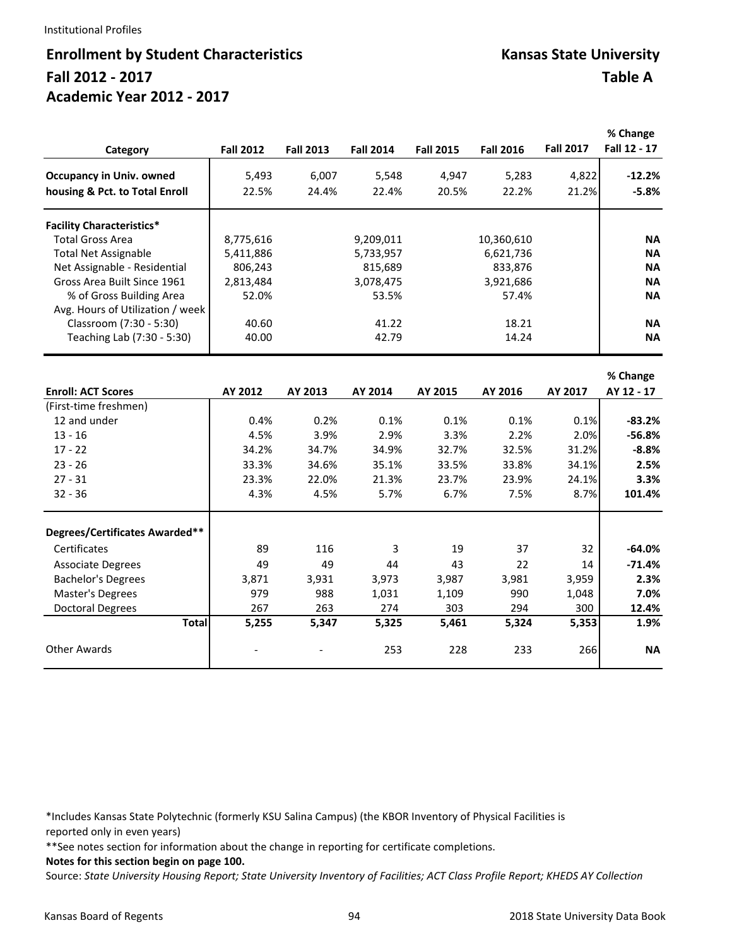#### Institutional Profiles

## **Enrollment by Student Characteristics Kansas State University Fall 2012 ‐ 2017 Table A Academic Year 2012 ‐ 2017**

|                                  |                  |                  |                  |                  |                  |                  | % Change               |
|----------------------------------|------------------|------------------|------------------|------------------|------------------|------------------|------------------------|
| Category                         | <b>Fall 2012</b> | <b>Fall 2013</b> | <b>Fall 2014</b> | <b>Fall 2015</b> | <b>Fall 2016</b> | <b>Fall 2017</b> | Fall 12 - 17           |
| <b>Occupancy in Univ. owned</b>  | 5,493            | 6,007            | 5,548            | 4,947            | 5,283            | 4,822            | $-12.2%$               |
| housing & Pct. to Total Enroll   | 22.5%            | 24.4%            | 22.4%            | 20.5%            | 22.2%            | 21.2%            | $-5.8%$                |
| <b>Facility Characteristics*</b> |                  |                  |                  |                  |                  |                  |                        |
| <b>Total Gross Area</b>          | 8,775,616        |                  | 9,209,011        |                  | 10,360,610       |                  | <b>NA</b>              |
| <b>Total Net Assignable</b>      | 5,411,886        |                  | 5,733,957        |                  | 6,621,736        |                  | <b>NA</b>              |
| Net Assignable - Residential     | 806,243          |                  | 815,689          |                  | 833,876          |                  | <b>NA</b>              |
| Gross Area Built Since 1961      | 2,813,484        |                  | 3,078,475        |                  | 3,921,686        |                  | <b>NA</b>              |
| % of Gross Building Area         | 52.0%            |                  | 53.5%            |                  | 57.4%            |                  | <b>NA</b>              |
| Avg. Hours of Utilization / week |                  |                  |                  |                  |                  |                  |                        |
| Classroom (7:30 - 5:30)          | 40.60            |                  | 41.22            |                  | 18.21            |                  | <b>NA</b>              |
| Teaching Lab (7:30 - 5:30)       | 40.00            |                  | 42.79            |                  | 14.24            |                  | <b>NA</b>              |
|                                  |                  |                  |                  |                  |                  |                  |                        |
| <b>Enroll: ACT Scores</b>        | AY 2012          | AY 2013          | AY 2014          | AY 2015          | AY 2016          | AY 2017          | % Change<br>AY 12 - 17 |
| (First-time freshmen)            |                  |                  |                  |                  |                  |                  |                        |
| 12 and under                     | 0.4%             | 0.2%             | 0.1%             | 0.1%             | 0.1%             | 0.1%             | $-83.2%$               |
| $13 - 16$                        | 4.5%             | 3.9%             | 2.9%             | 3.3%             | 2.2%             | 2.0%             | $-56.8%$               |
| $17 - 22$                        | 34.2%            | 34.7%            | 34.9%            | 32.7%            | 32.5%            | 31.2%            | $-8.8%$                |
| $23 - 26$                        | 33.3%            | 34.6%            | 35.1%            | 33.5%            | 33.8%            | 34.1%            | 2.5%                   |
| $27 - 31$                        | 23.3%            | 22.0%            | 21.3%            | 23.7%            | 23.9%            | 24.1%            | 3.3%                   |
| $32 - 36$                        | 4.3%             | 4.5%             | 5.7%             | 6.7%             | 7.5%             | 8.7%             | 101.4%                 |
|                                  |                  |                  |                  |                  |                  |                  |                        |
| Degrees/Certificates Awarded**   |                  |                  |                  |                  |                  |                  |                        |
| Certificates                     | 89               | 116              | 3                | 19               | 37               | 32               | $-64.0%$               |
| <b>Associate Degrees</b>         | 49               | 49               | 44               | 43               | 22               | 14               | $-71.4%$               |
| <b>Bachelor's Degrees</b>        | 3,871            | 3,931            | 3,973            | 3,987            | 3,981            | 3,959            | 2.3%                   |
| Master's Degrees                 | 979              | 988              | 1,031            | 1,109            | 990              | 1,048            | 7.0%                   |
| <b>Doctoral Degrees</b>          | 267              | 263              | 274              | 303              | 294              | 300              | 12.4%                  |
| <b>Total</b>                     | 5,255            | 5,347            | 5,325            | 5,461            | 5,324            | 5,353            | 1.9%                   |
| <b>Other Awards</b>              |                  |                  | 253              | 228              | 233              | 266              | <b>NA</b>              |

\*Includes Kansas State Polytechnic (formerly KSU Salina Campus) (the KBOR Inventory of Physical Facilities is reported only in even years)

\*\*See notes section for information about the change in reporting for certificate completions.

**Notes for this section begin on page 100.**

Source: *State University Housing Report; State University Inventory of Facilities; ACT Class Profile Report; KHEDS AY Collection*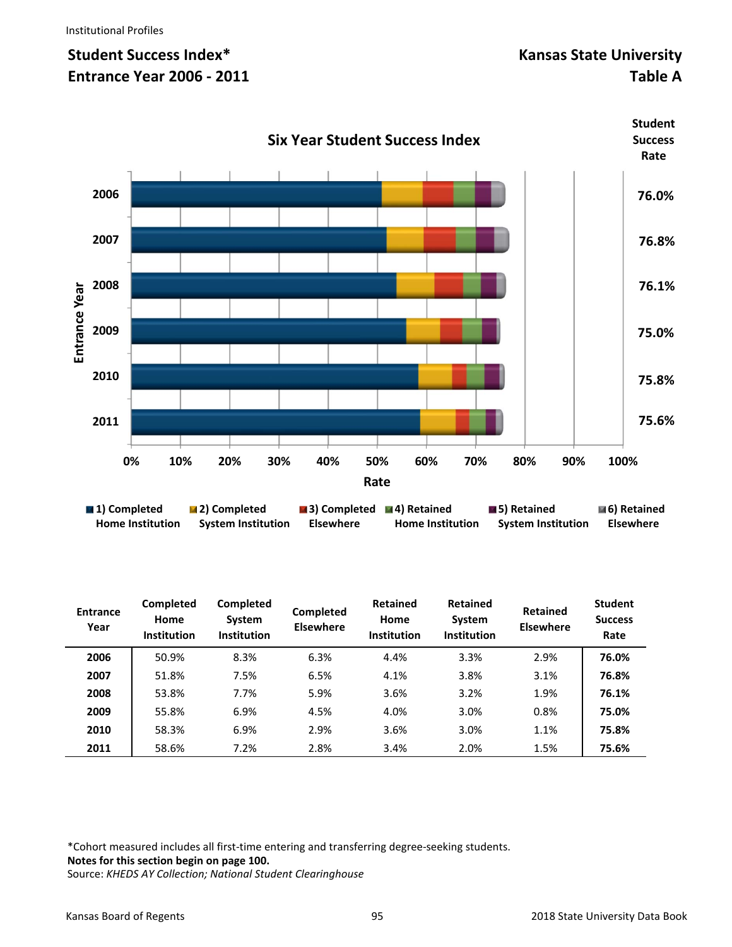# **Student Success Index\*** The Controllering of the Controllering Manual Mansas State University **Entrance Year 2006 - 2011** Table A

**Student** 



| $\blacksquare$ 1) Completed | <b>E</b> zi completed     | $\blacksquare$ 3) Completed $\blacksquare$ 4) Retailled |                         | a bi netamed       | <b>MOI RELATTIEU</b> |
|-----------------------------|---------------------------|---------------------------------------------------------|-------------------------|--------------------|----------------------|
| <b>Home Institution</b>     | <b>System Institution</b> | <b>Elsewhere</b>                                        | <b>Home Institution</b> | System Institution | Elsewhere            |
|                             |                           |                                                         |                         |                    |                      |

| <b>Entrance</b><br>Year | <b>Completed</b><br>Home<br><b>Institution</b> | <b>Completed</b><br>System<br><b>Institution</b> | Completed<br><b>Elsewhere</b> | <b>Retained</b><br>Home<br><b>Institution</b> | <b>Retained</b><br>System<br><b>Institution</b> | <b>Retained</b><br><b>Elsewhere</b> | <b>Student</b><br><b>Success</b><br>Rate |
|-------------------------|------------------------------------------------|--------------------------------------------------|-------------------------------|-----------------------------------------------|-------------------------------------------------|-------------------------------------|------------------------------------------|
| 2006                    | 50.9%                                          | 8.3%                                             | 6.3%                          | 4.4%                                          | 3.3%                                            | 2.9%                                | 76.0%                                    |
| 2007                    | 51.8%                                          | 7.5%                                             | 6.5%                          | 4.1%                                          | 3.8%                                            | 3.1%                                | 76.8%                                    |
| 2008                    | 53.8%                                          | 7.7%                                             | 5.9%                          | 3.6%                                          | 3.2%                                            | 1.9%                                | 76.1%                                    |
| 2009                    | 55.8%                                          | 6.9%                                             | 4.5%                          | 4.0%                                          | 3.0%                                            | 0.8%                                | 75.0%                                    |
| 2010                    | 58.3%                                          | 6.9%                                             | 2.9%                          | 3.6%                                          | 3.0%                                            | 1.1%                                | 75.8%                                    |
| 2011                    | 58.6%                                          | 7.2%                                             | 2.8%                          | 3.4%                                          | 2.0%                                            | 1.5%                                | 75.6%                                    |

\*Cohort measured includes all first‐time entering and transferring degree‐seeking students. **Notes for this section begin on page 100.** 

Source: *KHEDS AY Collection; National Student Clearinghouse*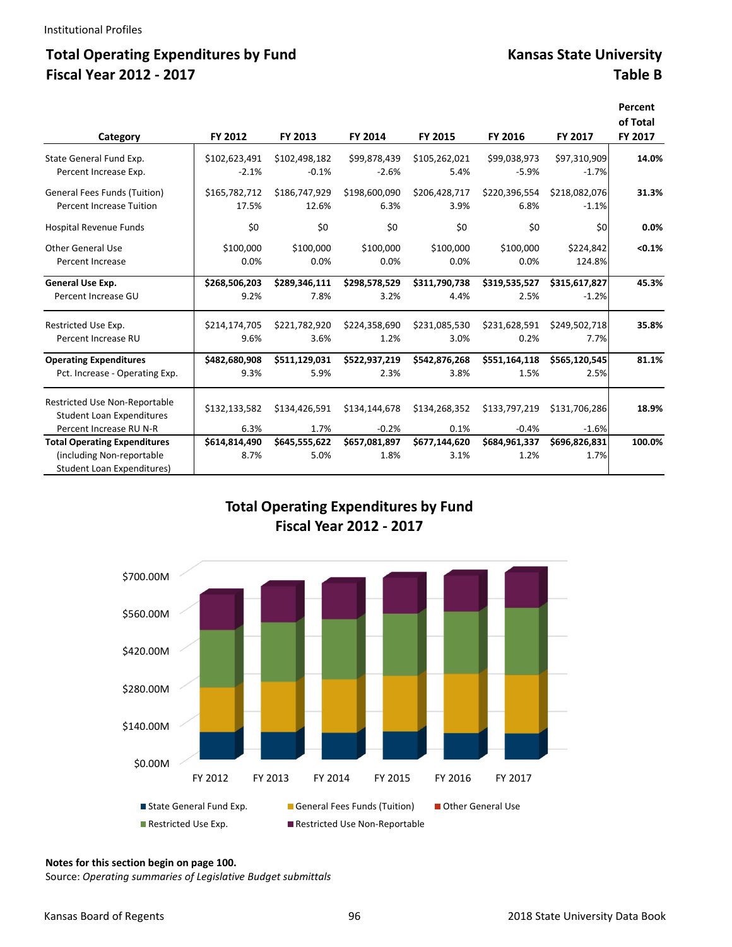## Total Operating Expenditures by Fund **Kansas State University Fiscal Year 2012 ‐ 2017 Table B**

**Percent** 

| Category                                                                                                                         | FY 2012                       | FY 2013                       | FY 2014                          | FY 2015                       | FY 2016                          | <b>FY 2017</b>                   | reiceilt<br>of Total<br>FY 2017 |
|----------------------------------------------------------------------------------------------------------------------------------|-------------------------------|-------------------------------|----------------------------------|-------------------------------|----------------------------------|----------------------------------|---------------------------------|
| State General Fund Exp.                                                                                                          | \$102,623,491                 | \$102,498,182                 | \$99,878,439                     | \$105,262,021                 | \$99,038,973                     | \$97,310,909                     | 14.0%                           |
| Percent Increase Exp.                                                                                                            | $-2.1%$                       | $-0.1%$                       | $-2.6%$                          | 5.4%                          | $-5.9%$                          | $-1.7%$                          |                                 |
| <b>General Fees Funds (Tuition)</b>                                                                                              | \$165,782,712                 | \$186,747,929                 | \$198,600,090                    | \$206,428,717                 | \$220,396,554                    | \$218,082,076                    | 31.3%                           |
| <b>Percent Increase Tuition</b>                                                                                                  | 17.5%                         | 12.6%                         | 6.3%                             | 3.9%                          | 6.8%                             | $-1.1%$                          |                                 |
| Hospital Revenue Funds                                                                                                           | \$0                           | \$0                           | \$0                              | \$0                           | \$0                              | \$0                              | 0.0%                            |
| <b>Other General Use</b>                                                                                                         | \$100,000                     | \$100,000                     | \$100,000                        | \$100,000                     | \$100,000                        | \$224,842                        | < 0.1%                          |
| Percent Increase                                                                                                                 | 0.0%                          | 0.0%                          | 0.0%                             | 0.0%                          | 0.0%                             | 124.8%                           |                                 |
| <b>General Use Exp.</b>                                                                                                          | \$268,506,203                 | \$289,346,111                 | \$298,578,529                    | \$311,790,738                 | \$319,535,527                    | \$315,617,827                    | 45.3%                           |
| Percent Increase GU                                                                                                              | 9.2%                          | 7.8%                          | 3.2%                             | 4.4%                          | 2.5%                             | $-1.2%$                          |                                 |
| Restricted Use Exp.                                                                                                              | \$214,174,705                 | \$221,782,920                 | \$224,358,690                    | \$231,085,530                 | \$231,628,591                    | \$249,502,718                    | 35.8%                           |
| Percent Increase RU                                                                                                              | 9.6%                          | 3.6%                          | 1.2%                             | 3.0%                          | 0.2%                             | 7.7%                             |                                 |
| <b>Operating Expenditures</b>                                                                                                    | \$482,680,908                 | \$511,129,031                 | \$522,937,219                    | \$542,876,268                 | \$551,164,118                    | \$565,120,545                    | 81.1%                           |
| Pct. Increase - Operating Exp.                                                                                                   | 9.3%                          | 5.9%                          | 2.3%                             | 3.8%                          | 1.5%                             | 2.5%                             |                                 |
| Restricted Use Non-Reportable<br><b>Student Loan Expenditures</b>                                                                | \$132,133,582                 | \$134,426,591                 | \$134,144,678                    | \$134,268,352                 | \$133,797,219                    | \$131,706,286                    | 18.9%                           |
| Percent Increase RU N-R<br><b>Total Operating Expenditures</b><br>(including Non-reportable<br><b>Student Loan Expenditures)</b> | 6.3%<br>\$614,814,490<br>8.7% | 1.7%<br>\$645,555,622<br>5.0% | $-0.2%$<br>\$657,081,897<br>1.8% | 0.1%<br>\$677,144,620<br>3.1% | $-0.4%$<br>\$684,961,337<br>1.2% | $-1.6%$<br>\$696,826,831<br>1.7% | 100.0%                          |

### **Total Operating Expenditures by Fund Fiscal Year 2012 ‐ 2017**



#### **Notes for this section begin on page 100.**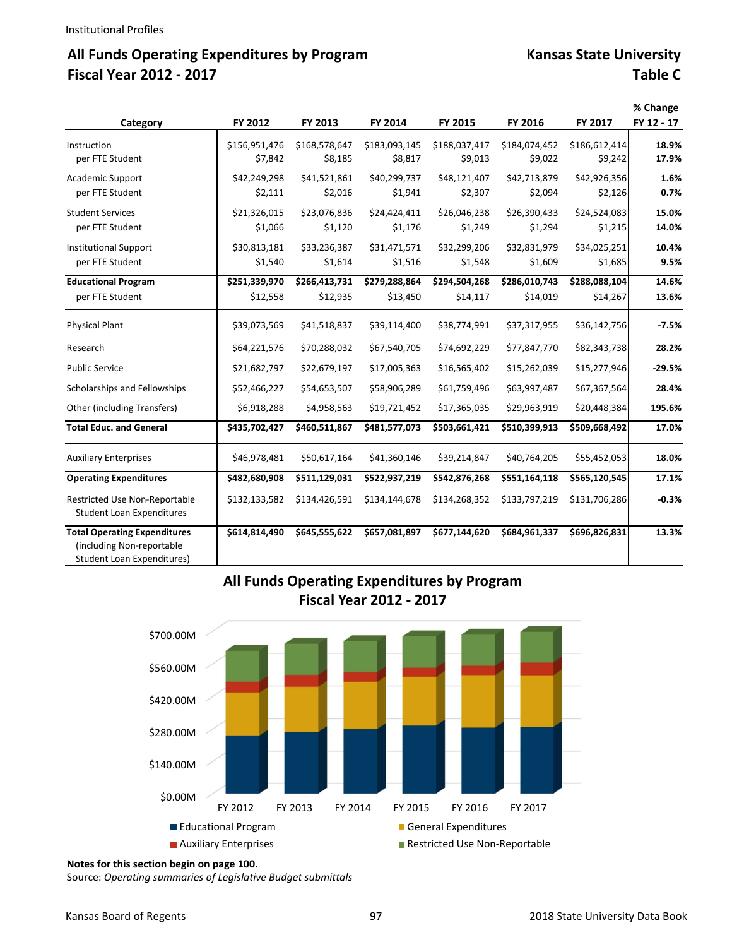# All Funds Operating Expenditures by Program Kansas State University **Fiscal Year 2012 ‐ 2017 Table C**

| Category                                                                                              | FY 2012                   | FY 2013                   | FY 2014                   | FY 2015                   | FY 2016                   | FY 2017                   | % Change<br>FY 12 - 17 |
|-------------------------------------------------------------------------------------------------------|---------------------------|---------------------------|---------------------------|---------------------------|---------------------------|---------------------------|------------------------|
| Instruction<br>per FTE Student                                                                        | \$156,951,476<br>\$7,842  | \$168,578,647<br>\$8,185  | \$183,093,145<br>\$8,817  | \$188,037,417<br>\$9,013  | \$184,074,452<br>\$9,022  | \$186,612,414<br>\$9,242  | 18.9%<br>17.9%         |
| <b>Academic Support</b><br>per FTE Student                                                            | \$42,249,298<br>\$2,111   | \$41,521,861<br>\$2,016   | \$40,299,737<br>\$1,941   | \$48,121,407<br>\$2,307   | \$42,713,879<br>\$2,094   | \$42,926,356<br>\$2,126   | 1.6%<br>0.7%           |
| <b>Student Services</b><br>per FTE Student                                                            | \$21,326,015<br>\$1,066   | \$23,076,836<br>\$1,120   | \$24,424,411<br>\$1,176   | \$26,046,238<br>\$1,249   | \$26,390,433<br>\$1,294   | \$24,524,083<br>\$1,215   | 15.0%<br>14.0%         |
| <b>Institutional Support</b><br>per FTE Student                                                       | \$30,813,181<br>\$1,540   | \$33,236,387<br>\$1,614   | \$31,471,571<br>\$1,516   | \$32,299,206<br>\$1,548   | \$32,831,979<br>\$1,609   | \$34,025,251<br>\$1,685   | 10.4%<br>9.5%          |
| <b>Educational Program</b><br>per FTE Student                                                         | \$251,339,970<br>\$12,558 | \$266,413,731<br>\$12,935 | \$279,288,864<br>\$13,450 | \$294,504,268<br>\$14,117 | \$286,010,743<br>\$14,019 | \$288,088,104<br>\$14,267 | 14.6%<br>13.6%         |
| <b>Physical Plant</b>                                                                                 | \$39,073,569              | \$41,518,837              | \$39,114,400              | \$38,774,991              | \$37,317,955              | \$36,142,756              | $-7.5%$                |
| Research                                                                                              | \$64,221,576              | \$70,288,032              | \$67,540,705              | \$74,692,229              | \$77,847,770              | \$82,343,738              | 28.2%                  |
| <b>Public Service</b>                                                                                 | \$21,682,797              | \$22,679,197              | \$17,005,363              | \$16,565,402              | \$15,262,039              | \$15,277,946              | $-29.5%$               |
| Scholarships and Fellowships                                                                          | \$52,466,227              | \$54,653,507              | \$58,906,289              | \$61,759,496              | \$63,997,487              | \$67,367,564              | 28.4%                  |
| Other (including Transfers)                                                                           | \$6,918,288               | \$4,958,563               | \$19,721,452              | \$17,365,035              | \$29,963,919              | \$20,448,384              | 195.6%                 |
| <b>Total Educ. and General</b>                                                                        | \$435,702,427             | \$460,511,867             | \$481,577,073             | \$503,661,421             | \$510,399,913             | \$509,668,492             | 17.0%                  |
| <b>Auxiliary Enterprises</b>                                                                          | \$46,978,481              | \$50,617,164              | \$41,360,146              | \$39,214,847              | \$40,764,205              | \$55,452,053              | 18.0%                  |
| <b>Operating Expenditures</b>                                                                         | \$482,680,908             | \$511,129,031             | \$522,937,219             | \$542,876,268             | \$551,164,118             | \$565,120,545             | 17.1%                  |
| Restricted Use Non-Reportable<br><b>Student Loan Expenditures</b>                                     | \$132,133,582             | \$134,426,591             | \$134,144,678             | \$134,268,352             | \$133,797,219             | \$131,706,286             | $-0.3%$                |
| <b>Total Operating Expenditures</b><br>(including Non-reportable<br><b>Student Loan Expenditures)</b> | \$614,814,490             | \$645,555,622             | \$657,081,897             | \$677,144,620             | \$684,961,337             | \$696,826,831             | 13.3%                  |

## **All Funds Operating Expenditures by Program Fiscal Year 2012 ‐ 2017**



#### **Notes for this section begin on page 100.**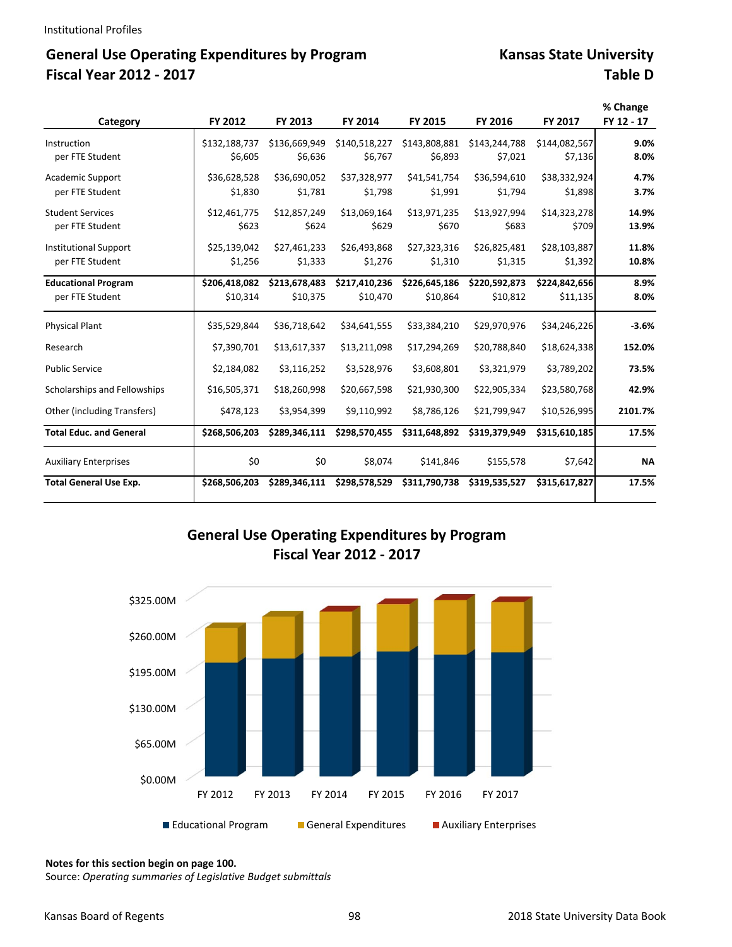# General Use Operating Expenditures by Program **Kansas State University Fiscal Year 2012 ‐ 2017 Table D**

|                                |               |               |               |               |               |               | % Change   |
|--------------------------------|---------------|---------------|---------------|---------------|---------------|---------------|------------|
| Category                       | FY 2012       | FY 2013       | FY 2014       | FY 2015       | FY 2016       | FY 2017       | FY 12 - 17 |
| Instruction                    | \$132,188,737 | \$136,669,949 | \$140,518,227 | \$143,808,881 | \$143,244,788 | \$144,082,567 | 9.0%       |
| per FTE Student                | \$6.605       | \$6,636       | \$6,767       | \$6,893       | \$7,021       | \$7,136       | 8.0%       |
| Academic Support               | \$36,628,528  | \$36,690,052  | \$37,328,977  | \$41,541,754  | \$36,594,610  | \$38,332,924  | 4.7%       |
| per FTE Student                | \$1,830       | \$1,781       | \$1,798       | \$1,991       | \$1,794       | \$1,898       | 3.7%       |
| <b>Student Services</b>        | \$12,461,775  | \$12,857,249  | \$13,069,164  | \$13,971,235  | \$13,927,994  | \$14,323,278  | 14.9%      |
| per FTE Student                | \$623         | \$624         | \$629         | \$670         | \$683         | \$709         | 13.9%      |
| <b>Institutional Support</b>   | \$25,139,042  | \$27,461,233  | \$26,493,868  | \$27,323,316  | \$26,825,481  | \$28,103,887  | 11.8%      |
| per FTE Student                | \$1,256       | \$1,333       | \$1,276       | \$1,310       | \$1,315       | \$1,392       | 10.8%      |
| <b>Educational Program</b>     | \$206,418,082 | \$213,678,483 | \$217,410,236 | \$226,645,186 | \$220,592,873 | \$224,842,656 | 8.9%       |
| per FTE Student                | \$10,314      | \$10,375      | \$10,470      | \$10,864      | \$10,812      | \$11,135      | 8.0%       |
| <b>Physical Plant</b>          | \$35,529,844  | \$36,718,642  | \$34,641,555  | \$33,384,210  | \$29,970,976  | \$34,246,226  | $-3.6%$    |
| Research                       | \$7,390,701   | \$13,617,337  | \$13,211,098  | \$17,294,269  | \$20,788,840  | \$18,624,338  | 152.0%     |
| <b>Public Service</b>          | \$2,184,082   | \$3,116,252   | \$3,528,976   | \$3,608,801   | \$3,321,979   | \$3,789,202   | 73.5%      |
| Scholarships and Fellowships   | \$16,505,371  | \$18,260,998  | \$20,667,598  | \$21,930,300  | \$22,905,334  | \$23,580,768  | 42.9%      |
| Other (including Transfers)    | \$478,123     | \$3,954,399   | \$9,110,992   | \$8,786,126   | \$21,799,947  | \$10,526,995  | 2101.7%    |
| <b>Total Educ. and General</b> | \$268,506,203 | \$289,346,111 | \$298,570,455 | \$311,648,892 | \$319,379,949 | \$315,610,185 | 17.5%      |
| <b>Auxiliary Enterprises</b>   | \$0           | \$0           | \$8,074       | \$141,846     | \$155,578     | \$7,642       | <b>NA</b>  |
| <b>Total General Use Exp.</b>  | \$268,506,203 | \$289,346,111 | \$298,578,529 | \$311,790,738 | \$319,535,527 | \$315,617,827 | 17.5%      |

### **General Use Operating Expenditures by Program Fiscal Year 2012 ‐ 2017**



**Notes for this section begin on page 100.**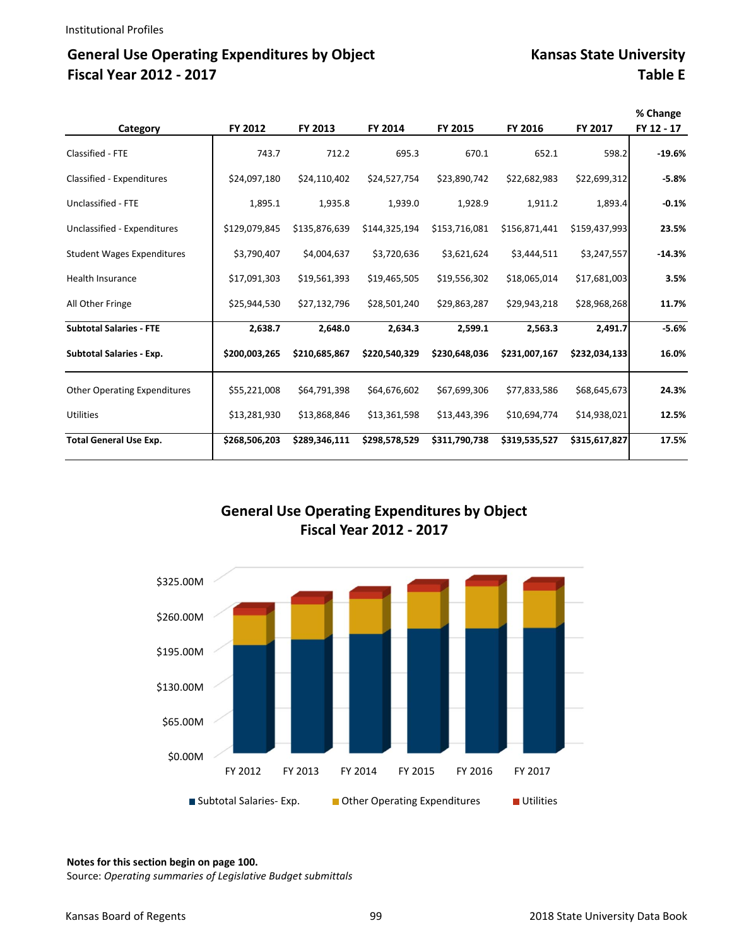# General Use Operating Expenditures by Object Kansas State University **Fiscal Year 2012 ‐ 2017 Table E**

|                                     |               |               |               |               |               |               | % Change   |
|-------------------------------------|---------------|---------------|---------------|---------------|---------------|---------------|------------|
| Category                            | FY 2012       | FY 2013       | FY 2014       | FY 2015       | FY 2016       | FY 2017       | FY 12 - 17 |
| Classified - FTE                    | 743.7         | 712.2         | 695.3         | 670.1         | 652.1         | 598.2         | $-19.6%$   |
| Classified - Expenditures           | \$24,097,180  | \$24,110,402  | \$24,527,754  | \$23,890,742  | \$22,682,983  | \$22,699,312  | $-5.8%$    |
| Unclassified - FTE                  | 1,895.1       | 1,935.8       | 1,939.0       | 1,928.9       | 1,911.2       | 1,893.4       | $-0.1%$    |
| Unclassified - Expenditures         | \$129,079,845 | \$135,876,639 | \$144,325,194 | \$153,716,081 | \$156,871,441 | \$159,437,993 | 23.5%      |
| <b>Student Wages Expenditures</b>   | \$3,790,407   | \$4,004,637   | \$3,720,636   | \$3,621,624   | \$3,444,511   | \$3,247,557   | $-14.3%$   |
| <b>Health Insurance</b>             | \$17,091,303  | \$19,561,393  | \$19,465,505  | \$19,556,302  | \$18,065,014  | \$17,681,003  | 3.5%       |
| All Other Fringe                    | \$25,944,530  | \$27,132,796  | \$28,501,240  | \$29,863,287  | \$29,943,218  | \$28,968,268  | 11.7%      |
| <b>Subtotal Salaries - FTE</b>      | 2,638.7       | 2,648.0       | 2,634.3       | 2,599.1       | 2,563.3       | 2,491.7       | $-5.6%$    |
| <b>Subtotal Salaries - Exp.</b>     | \$200,003,265 | \$210,685,867 | \$220,540,329 | \$230,648,036 | \$231,007,167 | \$232,034,133 | 16.0%      |
| <b>Other Operating Expenditures</b> | \$55,221,008  | \$64,791,398  | \$64,676,602  | \$67,699,306  | \$77,833,586  | \$68,645,673  | 24.3%      |
| <b>Utilities</b>                    | \$13,281,930  | \$13,868,846  | \$13,361,598  | \$13,443,396  | \$10,694,774  | \$14,938,021  | 12.5%      |
| <b>Total General Use Exp.</b>       | \$268,506,203 | \$289,346,111 | \$298,578,529 | \$311,790,738 | \$319,535,527 | \$315,617,827 | 17.5%      |

### **General Use Operating Expenditures by Object Fiscal Year 2012 ‐ 2017**



#### **Notes for this section begin on page 100.**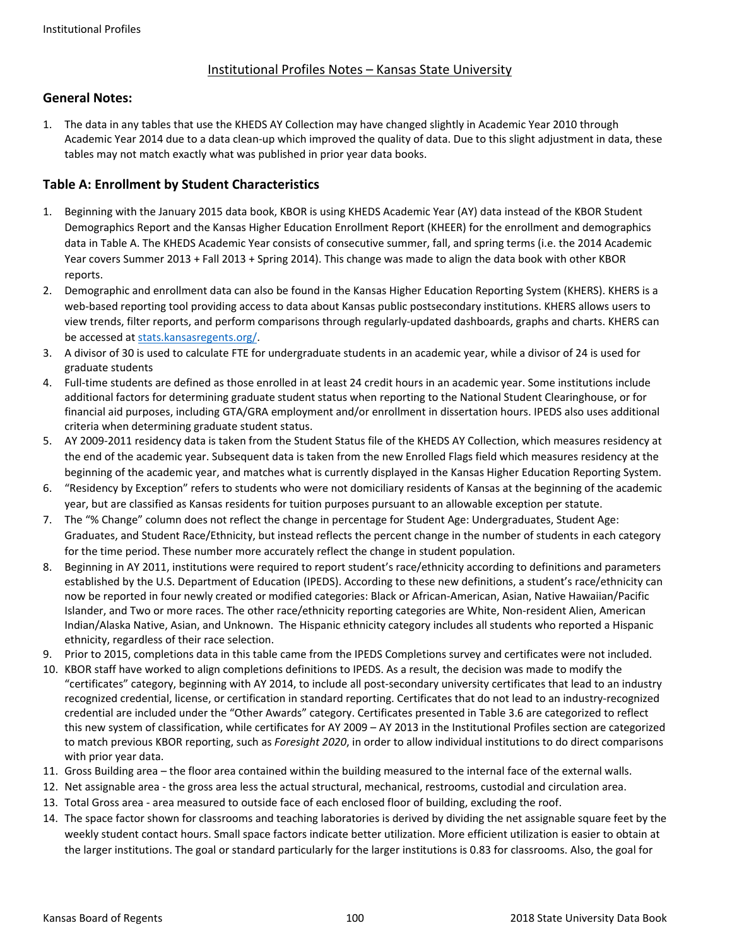### Institutional Profiles Notes – Kansas State University

### **General Notes:**

1. The data in any tables that use the KHEDS AY Collection may have changed slightly in Academic Year 2010 through Academic Year 2014 due to a data clean‐up which improved the quality of data. Due to this slight adjustment in data, these tables may not match exactly what was published in prior year data books.

### **Table A: Enrollment by Student Characteristics**

- 1. Beginning with the January 2015 data book, KBOR is using KHEDS Academic Year (AY) data instead of the KBOR Student Demographics Report and the Kansas Higher Education Enrollment Report (KHEER) for the enrollment and demographics data in Table A. The KHEDS Academic Year consists of consecutive summer, fall, and spring terms (i.e. the 2014 Academic Year covers Summer 2013 + Fall 2013 + Spring 2014). This change was made to align the data book with other KBOR reports.
- 2. Demographic and enrollment data can also be found in the Kansas Higher Education Reporting System (KHERS). KHERS is a web-based reporting tool providing access to data about Kansas public postsecondary institutions. KHERS allows users to view trends, filter reports, and perform comparisons through regularly‐updated dashboards, graphs and charts. KHERS can be accessed at stats.kansasregents.org/.
- 3. A divisor of 30 is used to calculate FTE for undergraduate students in an academic year, while a divisor of 24 is used for graduate students
- 4. Full-time students are defined as those enrolled in at least 24 credit hours in an academic year. Some institutions include additional factors for determining graduate student status when reporting to the National Student Clearinghouse, or for financial aid purposes, including GTA/GRA employment and/or enrollment in dissertation hours. IPEDS also uses additional criteria when determining graduate student status.
- 5. AY 2009-2011 residency data is taken from the Student Status file of the KHEDS AY Collection, which measures residency at the end of the academic year. Subsequent data is taken from the new Enrolled Flags field which measures residency at the beginning of the academic year, and matches what is currently displayed in the Kansas Higher Education Reporting System.
- 6. "Residency by Exception" refers to students who were not domiciliary residents of Kansas at the beginning of the academic year, but are classified as Kansas residents for tuition purposes pursuant to an allowable exception per statute.
- 7. The "% Change" column does not reflect the change in percentage for Student Age: Undergraduates, Student Age: Graduates, and Student Race/Ethnicity, but instead reflects the percent change in the number of students in each category for the time period. These number more accurately reflect the change in student population.
- 8. Beginning in AY 2011, institutions were required to report student's race/ethnicity according to definitions and parameters established by the U.S. Department of Education (IPEDS). According to these new definitions, a student's race/ethnicity can now be reported in four newly created or modified categories: Black or African‐American, Asian, Native Hawaiian/Pacific Islander, and Two or more races. The other race/ethnicity reporting categories are White, Non-resident Alien, American Indian/Alaska Native, Asian, and Unknown. The Hispanic ethnicity category includes all students who reported a Hispanic ethnicity, regardless of their race selection.
- 9. Prior to 2015, completions data in this table came from the IPEDS Completions survey and certificates were not included.
- 10. KBOR staff have worked to align completions definitions to IPEDS. As a result, the decision was made to modify the "certificates" category, beginning with AY 2014, to include all post‐secondary university certificates that lead to an industry recognized credential, license, or certification in standard reporting. Certificates that do not lead to an industry‐recognized credential are included under the "Other Awards" category. Certificates presented in Table 3.6 are categorized to reflect this new system of classification, while certificates for AY 2009 – AY 2013 in the Institutional Profiles section are categorized to match previous KBOR reporting, such as *Foresight 2020*, in order to allow individual institutions to do direct comparisons with prior year data.
- 11. Gross Building area the floor area contained within the building measured to the internal face of the external walls.
- 12. Net assignable area ‐ the gross area less the actual structural, mechanical, restrooms, custodial and circulation area.
- 13. Total Gross area ‐ area measured to outside face of each enclosed floor of building, excluding the roof.
- 14. The space factor shown for classrooms and teaching laboratories is derived by dividing the net assignable square feet by the weekly student contact hours. Small space factors indicate better utilization. More efficient utilization is easier to obtain at the larger institutions. The goal or standard particularly for the larger institutions is 0.83 for classrooms. Also, the goal for